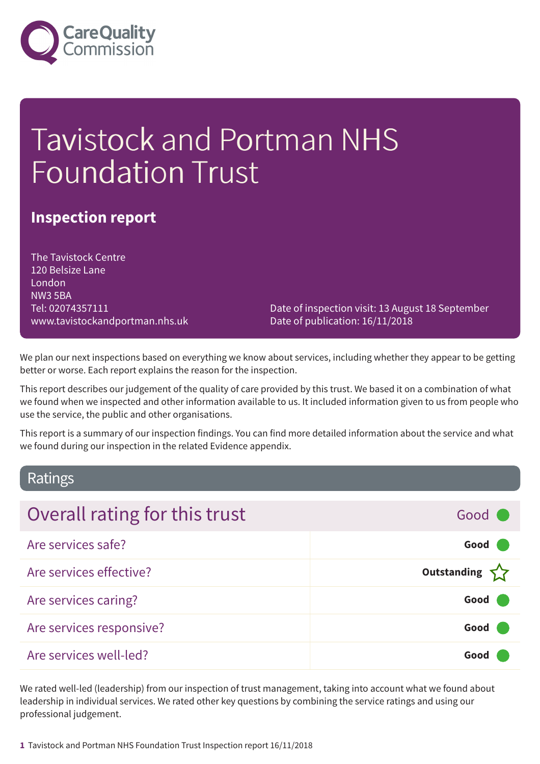

# Tavistock and Portman NHS Foundation Trust

### **Inspection report**

The Tavistock Centre 120 Belsize Lane London NW3 5BA Tel: 02074357111 www.tavistockandportman.nhs.uk

Date of inspection visit: 13 August 18 September Date of publication: 16/11/2018

We plan our next inspections based on everything we know about services, including whether they appear to be getting better or worse. Each report explains the reason for the inspection.

This report describes our judgement of the quality of care provided by this trust. We based it on a combination of what we found when we inspected and other information available to us. It included information given to us from people who use the service, the public and other organisations.

This report is a summary of our inspection findings. You can find more detailed information about the service and what we found during our inspection in the related Evidence appendix.

### Ratings

| Overall rating for this trust | Good C             |
|-------------------------------|--------------------|
| Are services safe?            | Good (             |
| Are services effective?       | Outstanding $\sum$ |
| Are services caring?          | Good (             |
| Are services responsive?      | Good (             |
| Are services well-led?        | Good               |

We rated well-led (leadership) from our inspection of trust management, taking into account what we found about leadership in individual services. We rated other key questions by combining the service ratings and using our professional judgement.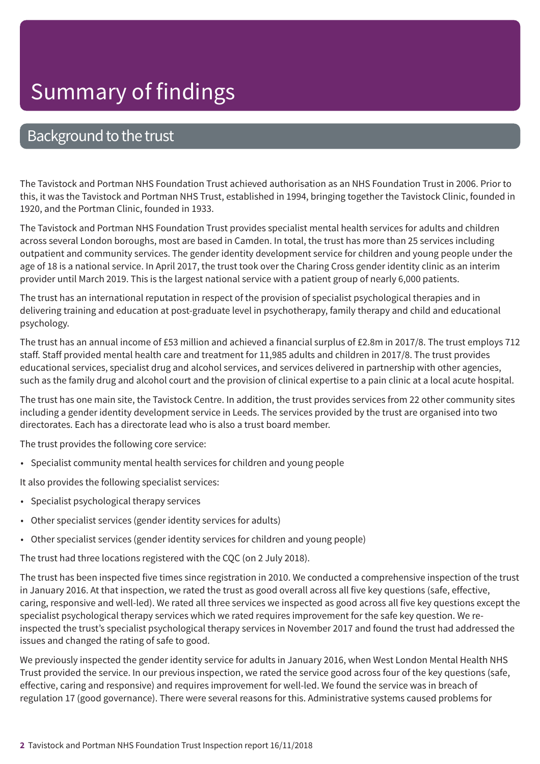### Background to the trust

The Tavistock and Portman NHS Foundation Trust achieved authorisation as an NHS Foundation Trust in 2006. Prior to this, it was the Tavistock and Portman NHS Trust, established in 1994, bringing together the Tavistock Clinic, founded in 1920, and the Portman Clinic, founded in 1933.

The Tavistock and Portman NHS Foundation Trust provides specialist mental health services for adults and children across several London boroughs, most are based in Camden. In total, the trust has more than 25 services including outpatient and community services. The gender identity development service for children and young people under the age of 18 is a national service. In April 2017, the trust took over the Charing Cross gender identity clinic as an interim provider until March 2019. This is the largest national service with a patient group of nearly 6,000 patients.

The trust has an international reputation in respect of the provision of specialist psychological therapies and in delivering training and education at post-graduate level in psychotherapy, family therapy and child and educational psychology.

The trust has an annual income of £53 million and achieved a financial surplus of £2.8m in 2017/8. The trust employs 712 staff. Staff provided mental health care and treatment for 11,985 adults and children in 2017/8. The trust provides educational services, specialist drug and alcohol services, and services delivered in partnership with other agencies, such as the family drug and alcohol court and the provision of clinical expertise to a pain clinic at a local acute hospital.

The trust has one main site, the Tavistock Centre. In addition, the trust provides services from 22 other community sites including a gender identity development service in Leeds. The services provided by the trust are organised into two directorates. Each has a directorate lead who is also a trust board member.

The trust provides the following core service:

• Specialist community mental health services for children and young people

It also provides the following specialist services:

- Specialist psychological therapy services
- Other specialist services (gender identity services for adults)
- Other specialist services (gender identity services for children and young people)

The trust had three locations registered with the CQC (on 2 July 2018).

The trust has been inspected five times since registration in 2010. We conducted a comprehensive inspection of the trust in January 2016. At that inspection, we rated the trust as good overall across all five key questions (safe, effective, caring, responsive and well-led). We rated all three services we inspected as good across all five key questions except the specialist psychological therapy services which we rated requires improvement for the safe key question. We reinspected the trust's specialist psychological therapy services in November 2017 and found the trust had addressed the issues and changed the rating of safe to good.

We previously inspected the gender identity service for adults in January 2016, when West London Mental Health NHS Trust provided the service. In our previous inspection, we rated the service good across four of the key questions (safe, effective, caring and responsive) and requires improvement for well-led. We found the service was in breach of regulation 17 (good governance). There were several reasons for this. Administrative systems caused problems for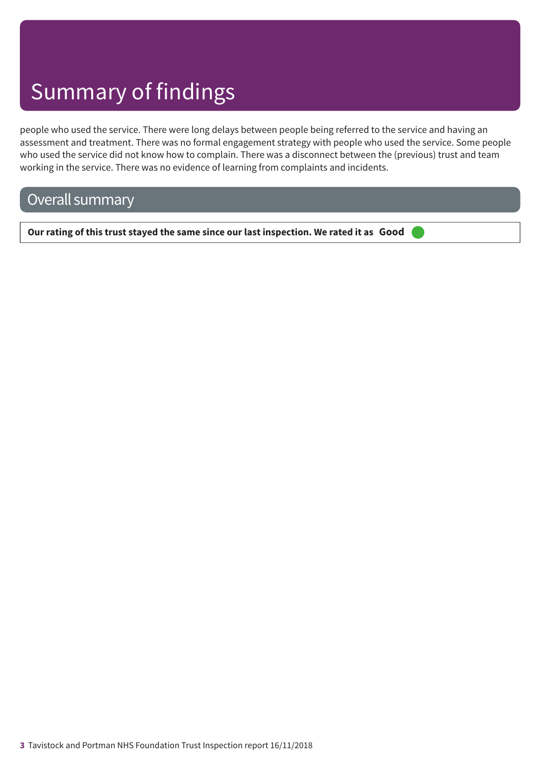people who used the service. There were long delays between people being referred to the service and having an assessment and treatment. There was no formal engagement strategy with people who used the service. Some people who used the service did not know how to complain. There was a disconnect between the (previous) trust and team working in the service. There was no evidence of learning from complaints and incidents.

## Overall summary

**Our rating of this trust stayed the same since our last inspection. We rated it as Good –––**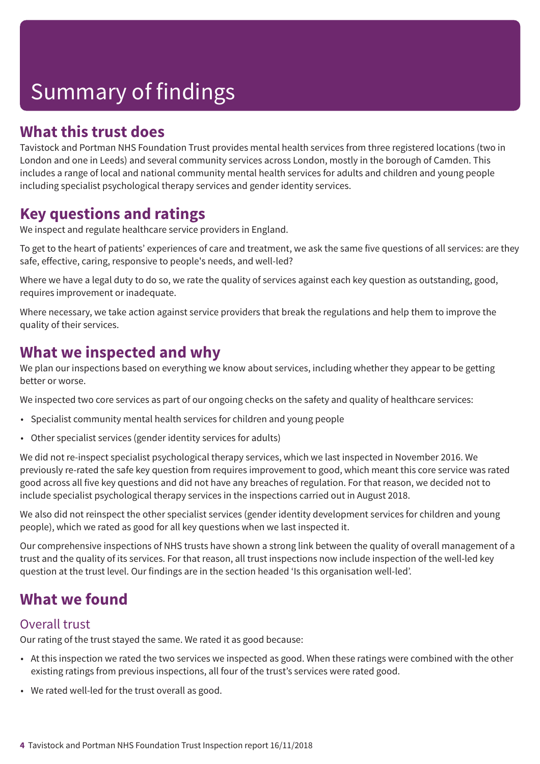### **What this trust does**

Tavistock and Portman NHS Foundation Trust provides mental health services from three registered locations (two in London and one in Leeds) and several community services across London, mostly in the borough of Camden. This includes a range of local and national community mental health services for adults and children and young people including specialist psychological therapy services and gender identity services.

### **Key questions and ratings**

We inspect and regulate healthcare service providers in England.

To get to the heart of patients' experiences of care and treatment, we ask the same five questions of all services: are they safe, effective, caring, responsive to people's needs, and well-led?

Where we have a legal duty to do so, we rate the quality of services against each key question as outstanding, good, requires improvement or inadequate.

Where necessary, we take action against service providers that break the regulations and help them to improve the quality of their services.

### **What we inspected and why**

We plan our inspections based on everything we know about services, including whether they appear to be getting better or worse.

We inspected two core services as part of our ongoing checks on the safety and quality of healthcare services:

- Specialist community mental health services for children and young people
- Other specialist services (gender identity services for adults)

We did not re-inspect specialist psychological therapy services, which we last inspected in November 2016. We previously re-rated the safe key question from requires improvement to good, which meant this core service was rated good across all five key questions and did not have any breaches of regulation. For that reason, we decided not to include specialist psychological therapy services in the inspections carried out in August 2018.

We also did not reinspect the other specialist services (gender identity development services for children and young people), which we rated as good for all key questions when we last inspected it.

Our comprehensive inspections of NHS trusts have shown a strong link between the quality of overall management of a trust and the quality of its services. For that reason, all trust inspections now include inspection of the well-led key question at the trust level. Our findings are in the section headed 'Is this organisation well-led'.

## **What we found**

### Overall trust

Our rating of the trust stayed the same. We rated it as good because:

- At this inspection we rated the two services we inspected as good. When these ratings were combined with the other existing ratings from previous inspections, all four of the trust's services were rated good.
- We rated well-led for the trust overall as good.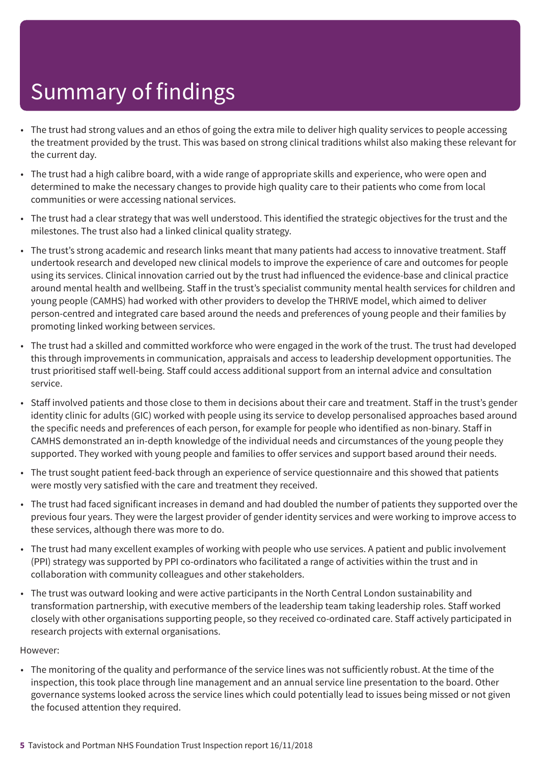- The trust had strong values and an ethos of going the extra mile to deliver high quality services to people accessing the treatment provided by the trust. This was based on strong clinical traditions whilst also making these relevant for the current day.
- The trust had a high calibre board, with a wide range of appropriate skills and experience, who were open and determined to make the necessary changes to provide high quality care to their patients who come from local communities or were accessing national services.
- The trust had a clear strategy that was well understood. This identified the strategic objectives for the trust and the milestones. The trust also had a linked clinical quality strategy.
- The trust's strong academic and research links meant that many patients had access to innovative treatment. Staff undertook research and developed new clinical models to improve the experience of care and outcomes for people using its services. Clinical innovation carried out by the trust had influenced the evidence-base and clinical practice around mental health and wellbeing. Staff in the trust's specialist community mental health services for children and young people (CAMHS) had worked with other providers to develop the THRIVE model, which aimed to deliver person-centred and integrated care based around the needs and preferences of young people and their families by promoting linked working between services.
- The trust had a skilled and committed workforce who were engaged in the work of the trust. The trust had developed this through improvements in communication, appraisals and access to leadership development opportunities. The trust prioritised staff well-being. Staff could access additional support from an internal advice and consultation service.
- Staff involved patients and those close to them in decisions about their care and treatment. Staff in the trust's gender identity clinic for adults (GIC) worked with people using its service to develop personalised approaches based around the specific needs and preferences of each person, for example for people who identified as non-binary. Staff in CAMHS demonstrated an in-depth knowledge of the individual needs and circumstances of the young people they supported. They worked with young people and families to offer services and support based around their needs.
- The trust sought patient feed-back through an experience of service questionnaire and this showed that patients were mostly very satisfied with the care and treatment they received.
- The trust had faced significant increases in demand and had doubled the number of patients they supported over the previous four years. They were the largest provider of gender identity services and were working to improve access to these services, although there was more to do.
- The trust had many excellent examples of working with people who use services. A patient and public involvement (PPI) strategy was supported by PPI co-ordinators who facilitated a range of activities within the trust and in collaboration with community colleagues and other stakeholders.
- The trust was outward looking and were active participants in the North Central London sustainability and transformation partnership, with executive members of the leadership team taking leadership roles. Staff worked closely with other organisations supporting people, so they received co-ordinated care. Staff actively participated in research projects with external organisations.

#### However:

• The monitoring of the quality and performance of the service lines was not sufficiently robust. At the time of the inspection, this took place through line management and an annual service line presentation to the board. Other governance systems looked across the service lines which could potentially lead to issues being missed or not given the focused attention they required.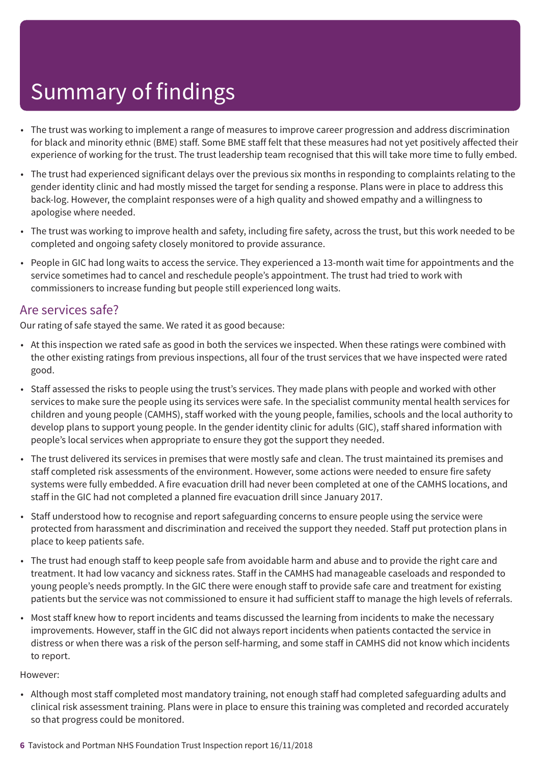- The trust was working to implement a range of measures to improve career progression and address discrimination for black and minority ethnic (BME) staff. Some BME staff felt that these measures had not yet positively affected their experience of working for the trust. The trust leadership team recognised that this will take more time to fully embed.
- The trust had experienced significant delays over the previous six months in responding to complaints relating to the gender identity clinic and had mostly missed the target for sending a response. Plans were in place to address this back-log. However, the complaint responses were of a high quality and showed empathy and a willingness to apologise where needed.
- The trust was working to improve health and safety, including fire safety, across the trust, but this work needed to be completed and ongoing safety closely monitored to provide assurance.
- People in GIC had long waits to access the service. They experienced a 13-month wait time for appointments and the service sometimes had to cancel and reschedule people's appointment. The trust had tried to work with commissioners to increase funding but people still experienced long waits.

### Are services safe?

Our rating of safe stayed the same. We rated it as good because:

- At this inspection we rated safe as good in both the services we inspected. When these ratings were combined with the other existing ratings from previous inspections, all four of the trust services that we have inspected were rated good.
- Staff assessed the risks to people using the trust's services. They made plans with people and worked with other services to make sure the people using its services were safe. In the specialist community mental health services for children and young people (CAMHS), staff worked with the young people, families, schools and the local authority to develop plans to support young people. In the gender identity clinic for adults (GIC), staff shared information with people's local services when appropriate to ensure they got the support they needed.
- The trust delivered its services in premises that were mostly safe and clean. The trust maintained its premises and staff completed risk assessments of the environment. However, some actions were needed to ensure fire safety systems were fully embedded. A fire evacuation drill had never been completed at one of the CAMHS locations, and staff in the GIC had not completed a planned fire evacuation drill since January 2017.
- Staff understood how to recognise and report safeguarding concerns to ensure people using the service were protected from harassment and discrimination and received the support they needed. Staff put protection plans in place to keep patients safe.
- The trust had enough staff to keep people safe from avoidable harm and abuse and to provide the right care and treatment. It had low vacancy and sickness rates. Staff in the CAMHS had manageable caseloads and responded to young people's needs promptly. In the GIC there were enough staff to provide safe care and treatment for existing patients but the service was not commissioned to ensure it had sufficient staff to manage the high levels of referrals.
- Most staff knew how to report incidents and teams discussed the learning from incidents to make the necessary improvements. However, staff in the GIC did not always report incidents when patients contacted the service in distress or when there was a risk of the person self-harming, and some staff in CAMHS did not know which incidents to report.

#### However:

- Although most staff completed most mandatory training, not enough staff had completed safeguarding adults and clinical risk assessment training. Plans were in place to ensure this training was completed and recorded accurately so that progress could be monitored.
- **6** Tavistock and Portman NHS Foundation Trust Inspection report 16/11/2018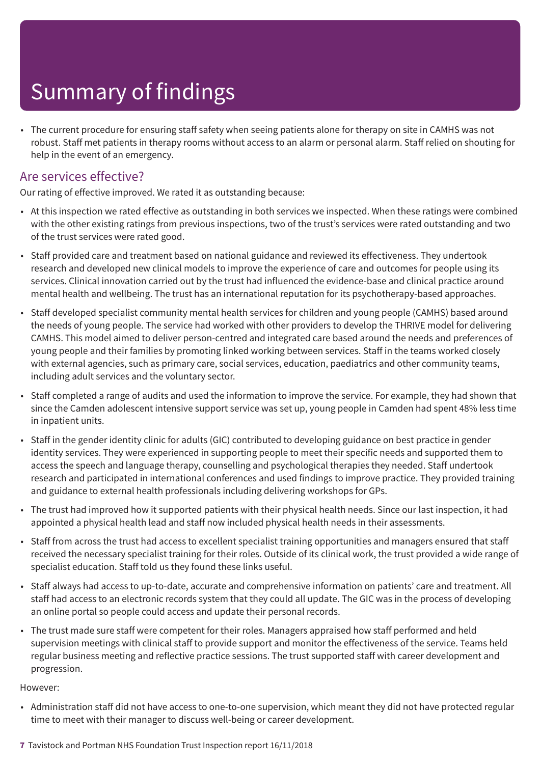• The current procedure for ensuring staff safety when seeing patients alone for therapy on site in CAMHS was not robust. Staff met patients in therapy rooms without access to an alarm or personal alarm. Staff relied on shouting for help in the event of an emergency.

### Are services effective?

Our rating of effective improved. We rated it as outstanding because:

- At this inspection we rated effective as outstanding in both services we inspected. When these ratings were combined with the other existing ratings from previous inspections, two of the trust's services were rated outstanding and two of the trust services were rated good.
- Staff provided care and treatment based on national guidance and reviewed its effectiveness. They undertook research and developed new clinical models to improve the experience of care and outcomes for people using its services. Clinical innovation carried out by the trust had influenced the evidence-base and clinical practice around mental health and wellbeing. The trust has an international reputation for its psychotherapy-based approaches.
- Staff developed specialist community mental health services for children and young people (CAMHS) based around the needs of young people. The service had worked with other providers to develop the THRIVE model for delivering CAMHS. This model aimed to deliver person-centred and integrated care based around the needs and preferences of young people and their families by promoting linked working between services. Staff in the teams worked closely with external agencies, such as primary care, social services, education, paediatrics and other community teams, including adult services and the voluntary sector.
- Staff completed a range of audits and used the information to improve the service. For example, they had shown that since the Camden adolescent intensive support service was set up, young people in Camden had spent 48% less time in inpatient units.
- Staff in the gender identity clinic for adults (GIC) contributed to developing guidance on best practice in gender identity services. They were experienced in supporting people to meet their specific needs and supported them to access the speech and language therapy, counselling and psychological therapies they needed. Staff undertook research and participated in international conferences and used findings to improve practice. They provided training and guidance to external health professionals including delivering workshops for GPs.
- The trust had improved how it supported patients with their physical health needs. Since our last inspection, it had appointed a physical health lead and staff now included physical health needs in their assessments.
- Staff from across the trust had access to excellent specialist training opportunities and managers ensured that staff received the necessary specialist training for their roles. Outside of its clinical work, the trust provided a wide range of specialist education. Staff told us they found these links useful.
- Staff always had access to up-to-date, accurate and comprehensive information on patients' care and treatment. All staff had access to an electronic records system that they could all update. The GIC was in the process of developing an online portal so people could access and update their personal records.
- The trust made sure staff were competent for their roles. Managers appraised how staff performed and held supervision meetings with clinical staff to provide support and monitor the effectiveness of the service. Teams held regular business meeting and reflective practice sessions. The trust supported staff with career development and progression.

#### However:

- Administration staff did not have access to one-to-one supervision, which meant they did not have protected regular time to meet with their manager to discuss well-being or career development.
- **7** Tavistock and Portman NHS Foundation Trust Inspection report 16/11/2018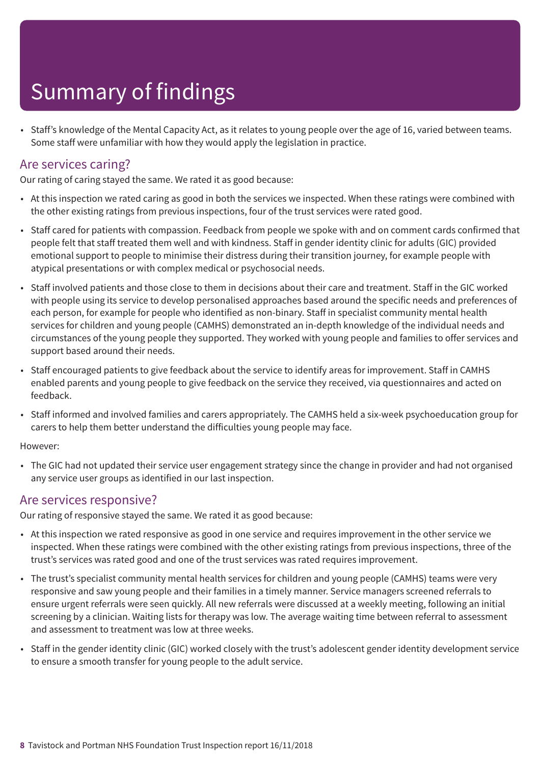• Staff's knowledge of the Mental Capacity Act, as it relates to young people over the age of 16, varied between teams. Some staff were unfamiliar with how they would apply the legislation in practice.

### Are services caring?

Our rating of caring stayed the same. We rated it as good because:

- At this inspection we rated caring as good in both the services we inspected. When these ratings were combined with the other existing ratings from previous inspections, four of the trust services were rated good.
- Staff cared for patients with compassion. Feedback from people we spoke with and on comment cards confirmed that people felt that staff treated them well and with kindness. Staff in gender identity clinic for adults (GIC) provided emotional support to people to minimise their distress during their transition journey, for example people with atypical presentations or with complex medical or psychosocial needs.
- Staff involved patients and those close to them in decisions about their care and treatment. Staff in the GIC worked with people using its service to develop personalised approaches based around the specific needs and preferences of each person, for example for people who identified as non-binary. Staff in specialist community mental health services for children and young people (CAMHS) demonstrated an in-depth knowledge of the individual needs and circumstances of the young people they supported. They worked with young people and families to offer services and support based around their needs.
- Staff encouraged patients to give feedback about the service to identify areas for improvement. Staff in CAMHS enabled parents and young people to give feedback on the service they received, via questionnaires and acted on feedback.
- Staff informed and involved families and carers appropriately. The CAMHS held a six-week psychoeducation group for carers to help them better understand the difficulties young people may face.

#### However:

• The GIC had not updated their service user engagement strategy since the change in provider and had not organised any service user groups as identified in our last inspection.

### Are services responsive?

Our rating of responsive stayed the same. We rated it as good because:

- At this inspection we rated responsive as good in one service and requires improvement in the other service we inspected. When these ratings were combined with the other existing ratings from previous inspections, three of the trust's services was rated good and one of the trust services was rated requires improvement.
- The trust's specialist community mental health services for children and young people (CAMHS) teams were very responsive and saw young people and their families in a timely manner. Service managers screened referrals to ensure urgent referrals were seen quickly. All new referrals were discussed at a weekly meeting, following an initial screening by a clinician. Waiting lists for therapy was low. The average waiting time between referral to assessment and assessment to treatment was low at three weeks.
- Staff in the gender identity clinic (GIC) worked closely with the trust's adolescent gender identity development service to ensure a smooth transfer for young people to the adult service.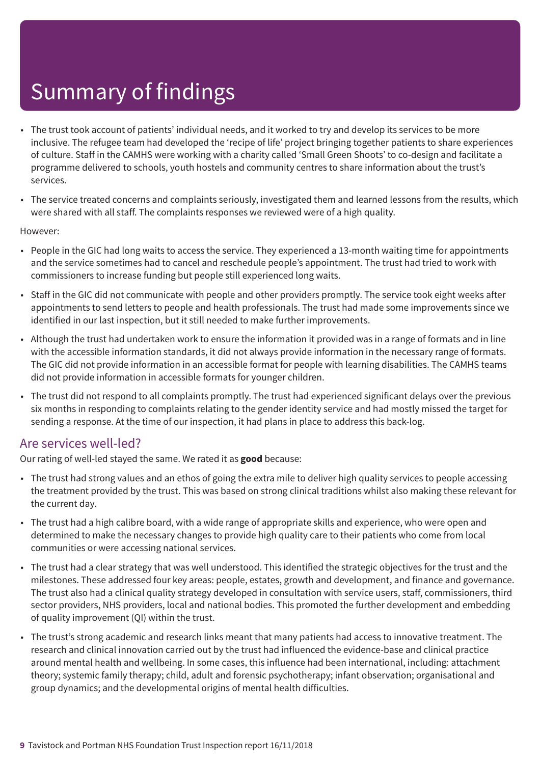- The trust took account of patients' individual needs, and it worked to try and develop its services to be more inclusive. The refugee team had developed the 'recipe of life' project bringing together patients to share experiences of culture. Staff in the CAMHS were working with a charity called 'Small Green Shoots' to co-design and facilitate a programme delivered to schools, youth hostels and community centres to share information about the trust's services.
- The service treated concerns and complaints seriously, investigated them and learned lessons from the results, which were shared with all staff. The complaints responses we reviewed were of a high quality.

#### However:

- People in the GIC had long waits to access the service. They experienced a 13-month waiting time for appointments and the service sometimes had to cancel and reschedule people's appointment. The trust had tried to work with commissioners to increase funding but people still experienced long waits.
- Staff in the GIC did not communicate with people and other providers promptly. The service took eight weeks after appointments to send letters to people and health professionals. The trust had made some improvements since we identified in our last inspection, but it still needed to make further improvements.
- Although the trust had undertaken work to ensure the information it provided was in a range of formats and in line with the accessible information standards, it did not always provide information in the necessary range of formats. The GIC did not provide information in an accessible format for people with learning disabilities. The CAMHS teams did not provide information in accessible formats for younger children.
- The trust did not respond to all complaints promptly. The trust had experienced significant delays over the previous six months in responding to complaints relating to the gender identity service and had mostly missed the target for sending a response. At the time of our inspection, it had plans in place to address this back-log.

### Are services well-led?

Our rating of well-led stayed the same. We rated it as **good** because:

- The trust had strong values and an ethos of going the extra mile to deliver high quality services to people accessing the treatment provided by the trust. This was based on strong clinical traditions whilst also making these relevant for the current day.
- The trust had a high calibre board, with a wide range of appropriate skills and experience, who were open and determined to make the necessary changes to provide high quality care to their patients who come from local communities or were accessing national services.
- The trust had a clear strategy that was well understood. This identified the strategic objectives for the trust and the milestones. These addressed four key areas: people, estates, growth and development, and finance and governance. The trust also had a clinical quality strategy developed in consultation with service users, staff, commissioners, third sector providers, NHS providers, local and national bodies. This promoted the further development and embedding of quality improvement (QI) within the trust.
- The trust's strong academic and research links meant that many patients had access to innovative treatment. The research and clinical innovation carried out by the trust had influenced the evidence-base and clinical practice around mental health and wellbeing. In some cases, this influence had been international, including: attachment theory; systemic family therapy; child, adult and forensic psychotherapy; infant observation; organisational and group dynamics; and the developmental origins of mental health difficulties.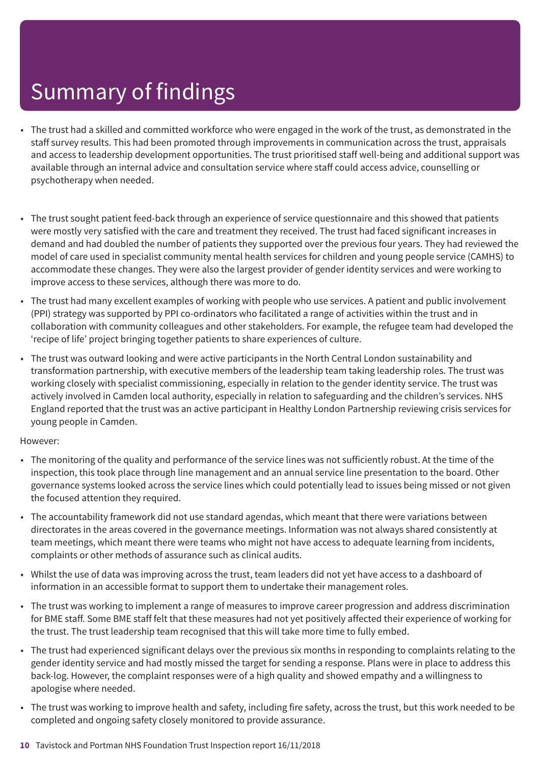- The trust had a skilled and committed workforce who were engaged in the work of the trust, as demonstrated in the staff survey results. This had been promoted through improvements in communication across the trust, appraisals and access to leadership development opportunities. The trust prioritised staff well-being and additional support was available through an internal advice and consultation service where staff could access advice, counselling or psychotherapy when needed.
- The trust sought patient feed-back through an experience of service questionnaire and this showed that patients were mostly very satisfied with the care and treatment they received. The trust had faced significant increases in demand and had doubled the number of patients they supported over the previous four years. They had reviewed the model of care used in specialist community mental health services for children and young people service (CAMHS) to accommodate these changes. They were also the largest provider of gender identity services and were working to improve access to these services, although there was more to do.
- The trust had many excellent examples of working with people who use services. A patient and public involvement (PPI) strategy was supported by PPI co-ordinators who facilitated a range of activities within the trust and in collaboration with community colleagues and other stakeholders. For example, the refugee team had developed the 'recipe of life' project bringing together patients to share experiences of culture.
- The trust was outward looking and were active participants in the North Central London sustainability and transformation partnership, with executive members of the leadership team taking leadership roles. The trust was working closely with specialist commissioning, especially in relation to the gender identity service. The trust was actively involved in Camden local authority, especially in relation to safeguarding and the children's services. NHS England reported that the trust was an active participant in Healthy London Partnership reviewing crisis services for young people in Camden.

#### However:

- The monitoring of the quality and performance of the service lines was not sufficiently robust. At the time of the inspection, this took place through line management and an annual service line presentation to the board. Other governance systems looked across the service lines which could potentially lead to issues being missed or not given the focused attention they required.
- The accountability framework did not use standard agendas, which meant that there were variations between directorates in the areas covered in the governance meetings. Information was not always shared consistently at team meetings, which meant there were teams who might not have access to adequate learning from incidents, complaints or other methods of assurance such as clinical audits.
- Whilst the use of data was improving across the trust, team leaders did not yet have access to a dashboard of information in an accessible format to support them to undertake their management roles.
- The trust was working to implement a range of measures to improve career progression and address discrimination for BME staff. Some BME staff felt that these measures had not yet positively affected their experience of working for the trust. The trust leadership team recognised that this will take more time to fully embed.
- The trust had experienced significant delays over the previous six months in responding to complaints relating to the gender identity service and had mostly missed the target for sending a response. Plans were in place to address this back-log. However, the complaint responses were of a high quality and showed empathy and a willingness to apologise where needed.
- The trust was working to improve health and safety, including fire safety, across the trust, but this work needed to be completed and ongoing safety closely monitored to provide assurance.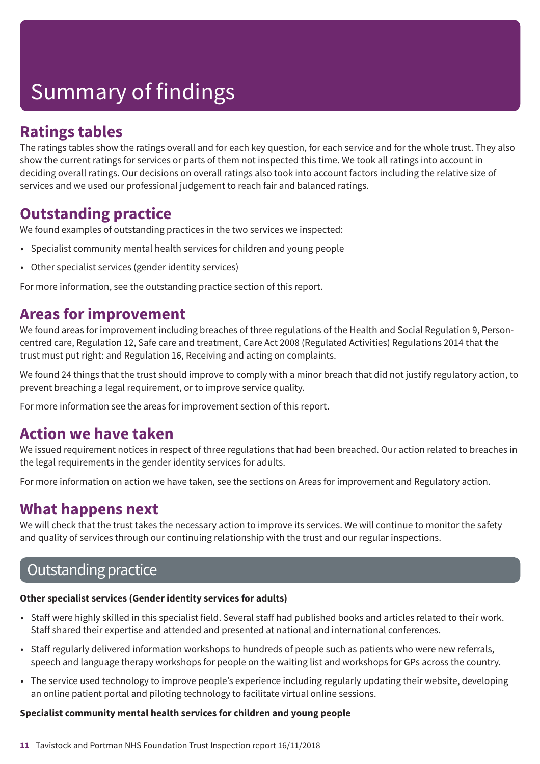## **Ratings tables**

The ratings tables show the ratings overall and for each key question, for each service and for the whole trust. They also show the current ratings for services or parts of them not inspected this time. We took all ratings into account in deciding overall ratings. Our decisions on overall ratings also took into account factors including the relative size of services and we used our professional judgement to reach fair and balanced ratings.

### **Outstanding practice**

We found examples of outstanding practices in the two services we inspected:

- Specialist community mental health services for children and young people
- Other specialist services (gender identity services)

For more information, see the outstanding practice section of this report.

### **Areas for improvement**

We found areas for improvement including breaches of three regulations of the Health and Social Regulation 9, Personcentred care, Regulation 12, Safe care and treatment, Care Act 2008 (Regulated Activities) Regulations 2014 that the trust must put right: and Regulation 16, Receiving and acting on complaints.

We found 24 things that the trust should improve to comply with a minor breach that did not justify regulatory action, to prevent breaching a legal requirement, or to improve service quality.

For more information see the areas for improvement section of this report.

### **Action we have taken**

We issued requirement notices in respect of three regulations that had been breached. Our action related to breaches in the legal requirements in the gender identity services for adults.

For more information on action we have taken, see the sections on Areas for improvement and Regulatory action.

### **What happens next**

We will check that the trust takes the necessary action to improve its services. We will continue to monitor the safety and quality of services through our continuing relationship with the trust and our regular inspections.

## **Outstanding practice**

### **Other specialist services (Gender identity services for adults)**

- Staff were highly skilled in this specialist field. Several staff had published books and articles related to their work. Staff shared their expertise and attended and presented at national and international conferences.
- Staff regularly delivered information workshops to hundreds of people such as patients who were new referrals, speech and language therapy workshops for people on the waiting list and workshops for GPs across the country.
- The service used technology to improve people's experience including regularly updating their website, developing an online patient portal and piloting technology to facilitate virtual online sessions.

### **Specialist community mental health services for children and young people**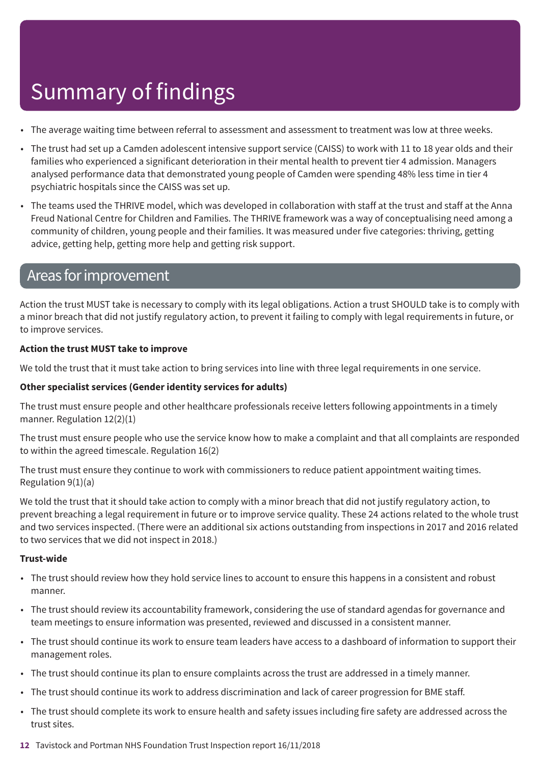- The average waiting time between referral to assessment and assessment to treatment was low at three weeks.
- The trust had set up a Camden adolescent intensive support service (CAISS) to work with 11 to 18 year olds and their families who experienced a significant deterioration in their mental health to prevent tier 4 admission. Managers analysed performance data that demonstrated young people of Camden were spending 48% less time in tier 4 psychiatric hospitals since the CAISS was set up.
- The teams used the THRIVE model, which was developed in collaboration with staff at the trust and staff at the Anna Freud National Centre for Children and Families. The THRIVE framework was a way of conceptualising need among a community of children, young people and their families. It was measured under five categories: thriving, getting advice, getting help, getting more help and getting risk support.

### Areas for improvement

Action the trust MUST take is necessary to comply with its legal obligations. Action a trust SHOULD take is to comply with a minor breach that did not justify regulatory action, to prevent it failing to comply with legal requirements in future, or to improve services.

### **Action the trust MUST take to improve**

We told the trust that it must take action to bring services into line with three legal requirements in one service.

### **Other specialist services (Gender identity services for adults)**

The trust must ensure people and other healthcare professionals receive letters following appointments in a timely manner. Regulation 12(2)(1)

The trust must ensure people who use the service know how to make a complaint and that all complaints are responded to within the agreed timescale. Regulation 16(2)

The trust must ensure they continue to work with commissioners to reduce patient appointment waiting times. Regulation 9(1)(a)

We told the trust that it should take action to comply with a minor breach that did not justify regulatory action, to prevent breaching a legal requirement in future or to improve service quality. These 24 actions related to the whole trust and two services inspected. (There were an additional six actions outstanding from inspections in 2017 and 2016 related to two services that we did not inspect in 2018.)

#### **Trust-wide**

- The trust should review how they hold service lines to account to ensure this happens in a consistent and robust manner.
- The trust should review its accountability framework, considering the use of standard agendas for governance and team meetings to ensure information was presented, reviewed and discussed in a consistent manner.
- The trust should continue its work to ensure team leaders have access to a dashboard of information to support their management roles.
- The trust should continue its plan to ensure complaints across the trust are addressed in a timely manner.
- The trust should continue its work to address discrimination and lack of career progression for BME staff.
- The trust should complete its work to ensure health and safety issues including fire safety are addressed across the trust sites.
- **12** Tavistock and Portman NHS Foundation Trust Inspection report 16/11/2018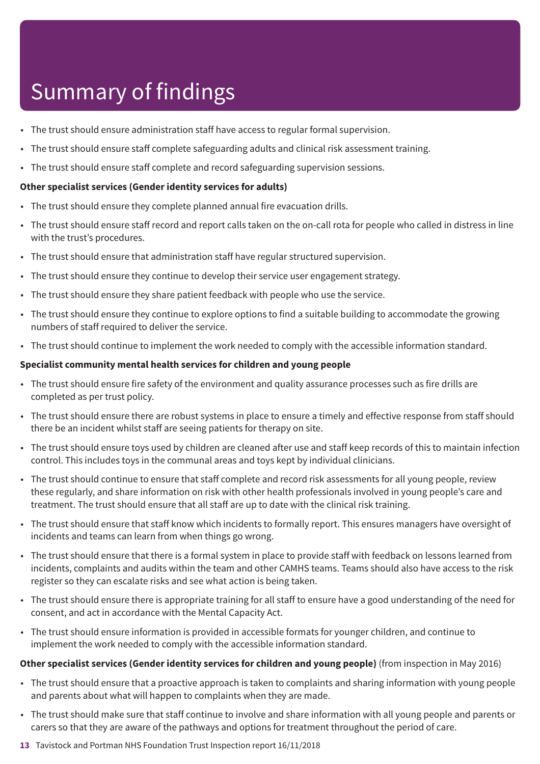- The trust should ensure administration staff have access to regular formal supervision.
- The trust should ensure staff complete safeguarding adults and clinical risk assessment training.
- The trust should ensure staff complete and record safeguarding supervision sessions.

#### **Other specialist services (Gender identity services for adults)**

- The trust should ensure they complete planned annual fire evacuation drills.
- The trust should ensure staff record and report calls taken on the on-call rota for people who called in distress in line with the trust's procedures.
- The trust should ensure that administration staff have regular structured supervision.
- The trust should ensure they continue to develop their service user engagement strategy.
- The trust should ensure they share patient feedback with people who use the service.
- The trust should ensure they continue to explore options to find a suitable building to accommodate the growing numbers of staff required to deliver the service.
- The trust should continue to implement the work needed to comply with the accessible information standard.

#### **Specialist community mental health services for children and young people**

- The trust should ensure fire safety of the environment and quality assurance processes such as fire drills are completed as per trust policy.
- The trust should ensure there are robust systems in place to ensure a timely and effective response from staff should there be an incident whilst staff are seeing patients for therapy on site.
- The trust should ensure toys used by children are cleaned after use and staff keep records of this to maintain infection control. This includes toys in the communal areas and toys kept by individual clinicians.
- The trust should continue to ensure that staff complete and record risk assessments for all young people, review these regularly, and share information on risk with other health professionals involved in young people's care and treatment. The trust should ensure that all staff are up to date with the clinical risk training.
- The trust should ensure that staff know which incidents to formally report. This ensures managers have oversight of incidents and teams can learn from when things go wrong.
- The trust should ensure that there is a formal system in place to provide staff with feedback on lessons learned from incidents, complaints and audits within the team and other CAMHS teams. Teams should also have access to the risk register so they can escalate risks and see what action is being taken.
- The trust should ensure there is appropriate training for all staff to ensure have a good understanding of the need for consent, and act in accordance with the Mental Capacity Act.
- The trust should ensure information is provided in accessible formats for younger children, and continue to implement the work needed to comply with the accessible information standard.

#### **Other specialist services (Gender identity services for children and young people)** (from inspection in May 2016)

- The trust should ensure that a proactive approach is taken to complaints and sharing information with young people and parents about what will happen to complaints when they are made.
- The trust should make sure that staff continue to involve and share information with all young people and parents or carers so that they are aware of the pathways and options for treatment throughout the period of care.
- **13** Tavistock and Portman NHS Foundation Trust Inspection report 16/11/2018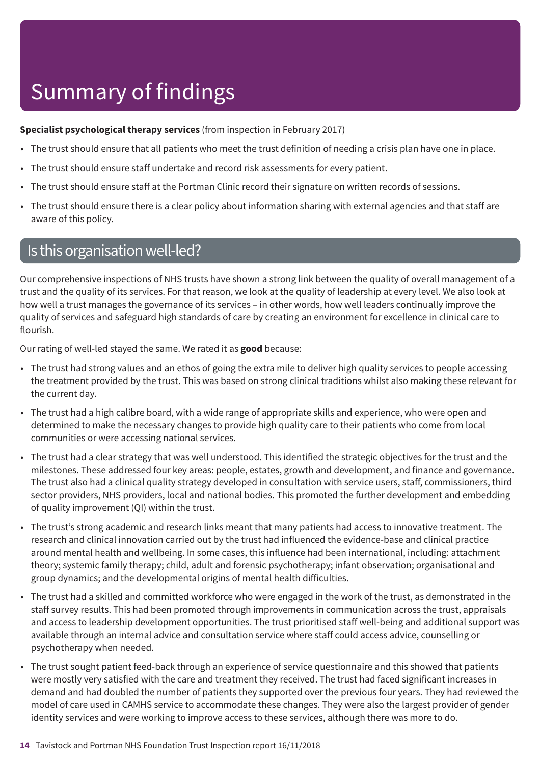### **Specialist psychological therapy services** (from inspection in February 2017)

- The trust should ensure that all patients who meet the trust definition of needing a crisis plan have one in place.
- The trust should ensure staff undertake and record risk assessments for every patient.
- The trust should ensure staff at the Portman Clinic record their signature on written records of sessions.
- The trust should ensure there is a clear policy about information sharing with external agencies and that staff are aware of this policy.

### Is this organisation well-led?

Our comprehensive inspections of NHS trusts have shown a strong link between the quality of overall management of a trust and the quality of its services. For that reason, we look at the quality of leadership at every level. We also look at how well a trust manages the governance of its services – in other words, how well leaders continually improve the quality of services and safeguard high standards of care by creating an environment for excellence in clinical care to flourish.

Our rating of well-led stayed the same. We rated it as **good** because:

- The trust had strong values and an ethos of going the extra mile to deliver high quality services to people accessing the treatment provided by the trust. This was based on strong clinical traditions whilst also making these relevant for the current day.
- The trust had a high calibre board, with a wide range of appropriate skills and experience, who were open and determined to make the necessary changes to provide high quality care to their patients who come from local communities or were accessing national services.
- The trust had a clear strategy that was well understood. This identified the strategic objectives for the trust and the milestones. These addressed four key areas: people, estates, growth and development, and finance and governance. The trust also had a clinical quality strategy developed in consultation with service users, staff, commissioners, third sector providers, NHS providers, local and national bodies. This promoted the further development and embedding of quality improvement (QI) within the trust.
- The trust's strong academic and research links meant that many patients had access to innovative treatment. The research and clinical innovation carried out by the trust had influenced the evidence-base and clinical practice around mental health and wellbeing. In some cases, this influence had been international, including: attachment theory; systemic family therapy; child, adult and forensic psychotherapy; infant observation; organisational and group dynamics; and the developmental origins of mental health difficulties.
- The trust had a skilled and committed workforce who were engaged in the work of the trust, as demonstrated in the staff survey results. This had been promoted through improvements in communication across the trust, appraisals and access to leadership development opportunities. The trust prioritised staff well-being and additional support was available through an internal advice and consultation service where staff could access advice, counselling or psychotherapy when needed.
- The trust sought patient feed-back through an experience of service questionnaire and this showed that patients were mostly very satisfied with the care and treatment they received. The trust had faced significant increases in demand and had doubled the number of patients they supported over the previous four years. They had reviewed the model of care used in CAMHS service to accommodate these changes. They were also the largest provider of gender identity services and were working to improve access to these services, although there was more to do.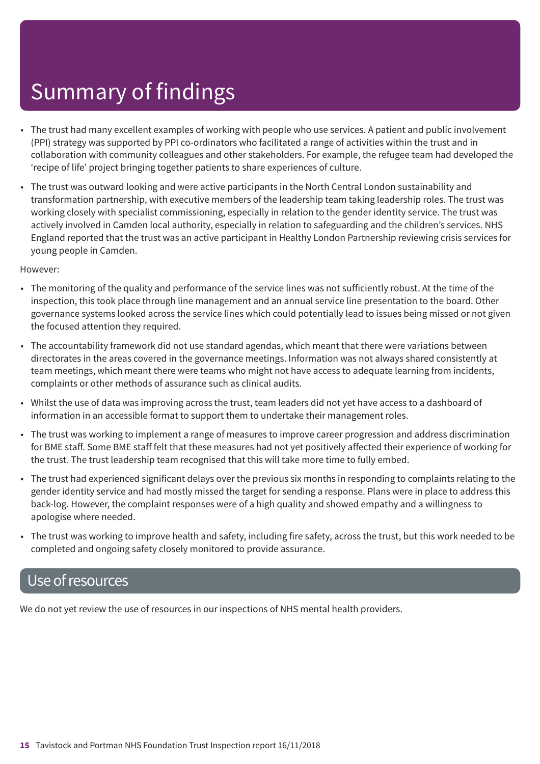- The trust had many excellent examples of working with people who use services. A patient and public involvement (PPI) strategy was supported by PPI co-ordinators who facilitated a range of activities within the trust and in collaboration with community colleagues and other stakeholders. For example, the refugee team had developed the 'recipe of life' project bringing together patients to share experiences of culture.
- The trust was outward looking and were active participants in the North Central London sustainability and transformation partnership, with executive members of the leadership team taking leadership roles. The trust was working closely with specialist commissioning, especially in relation to the gender identity service. The trust was actively involved in Camden local authority, especially in relation to safeguarding and the children's services. NHS England reported that the trust was an active participant in Healthy London Partnership reviewing crisis services for young people in Camden.

However:

- The monitoring of the quality and performance of the service lines was not sufficiently robust. At the time of the inspection, this took place through line management and an annual service line presentation to the board. Other governance systems looked across the service lines which could potentially lead to issues being missed or not given the focused attention they required.
- The accountability framework did not use standard agendas, which meant that there were variations between directorates in the areas covered in the governance meetings. Information was not always shared consistently at team meetings, which meant there were teams who might not have access to adequate learning from incidents, complaints or other methods of assurance such as clinical audits.
- Whilst the use of data was improving across the trust, team leaders did not yet have access to a dashboard of information in an accessible format to support them to undertake their management roles.
- The trust was working to implement a range of measures to improve career progression and address discrimination for BME staff. Some BME staff felt that these measures had not yet positively affected their experience of working for the trust. The trust leadership team recognised that this will take more time to fully embed.
- The trust had experienced significant delays over the previous six months in responding to complaints relating to the gender identity service and had mostly missed the target for sending a response. Plans were in place to address this back-log. However, the complaint responses were of a high quality and showed empathy and a willingness to apologise where needed.
- The trust was working to improve health and safety, including fire safety, across the trust, but this work needed to be completed and ongoing safety closely monitored to provide assurance.

### Use of resources

We do not yet review the use of resources in our inspections of NHS mental health providers.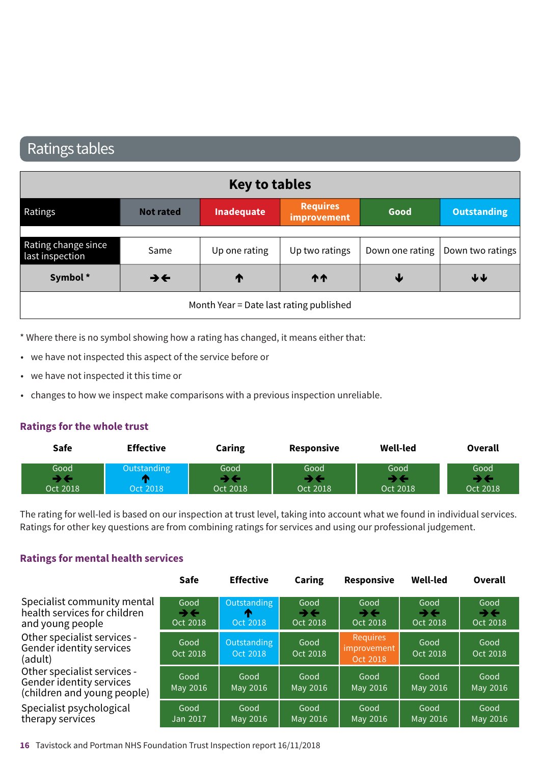### Ratings tables

| <b>Key to tables</b>                   |                          |                                         |                                |      |                                    |
|----------------------------------------|--------------------------|-----------------------------------------|--------------------------------|------|------------------------------------|
| Ratings                                | <b>Not rated</b>         | Inadequate                              | <b>Requires</b><br>improvement | Good | <b>Outstanding</b>                 |
| Rating change since<br>last inspection | Same                     | Up one rating                           | Up two ratings                 |      | Down one rating   Down two ratings |
| Symbol*                                | $\rightarrow \leftarrow$ | T                                       | <b>11</b>                      | ₩    | $\blacklozenge \blacklozenge$      |
|                                        |                          | Month Year = Date last rating published |                                |      |                                    |

\* Where there is no symbol showing how a rating has changed, it means either that:

- we have not inspected this aspect of the service before or
- we have not inspected it this time or
- changes to how we inspect make comparisons with a previous inspection unreliable.

#### **Ratings for the whole trust**

| <b>Safe</b>      | <b>Effective</b>              | Caring           | $\sim$ $\sim$ $\sim$<br><b>Responsive</b> | <b>Well-led</b>  | Overall          |
|------------------|-------------------------------|------------------|-------------------------------------------|------------------|------------------|
| Good<br>Oct 2018 | Outstandi<br>adina<br>ct 2018 | Good<br>Oct 2018 | Good<br>Oct 2018                          | Good<br>Oct 2018 | Good<br>Oct 2018 |

The rating for well-led is based on our inspection at trust level, taking into account what we found in individual services. Ratings for other key questions are from combining ratings for services and using our professional judgement.

#### **Ratings for mental health services**

|                                                                                        | Safe                   | <b>Effective</b>             | Caring                 | Responsive                                 | <b>Well-led</b>        | Overall                                        |
|----------------------------------------------------------------------------------------|------------------------|------------------------------|------------------------|--------------------------------------------|------------------------|------------------------------------------------|
| Specialist community mental<br>health services for children<br>and young people        | Good<br>→←<br>Oct 2018 | Outstanding<br>m<br>Oct 2018 | Good<br>→←<br>Oct 2018 | Good<br>→←<br>Oct 2018                     | Good<br>→←<br>Oct 2018 | Good<br>$\rightarrow$ $\leftarrow$<br>Oct 2018 |
| Other specialist services -<br>Gender identity services<br>(adult)                     | Good<br>Oct 2018       | Outstanding<br>Oct 2018      | Good<br>Oct 2018       | <b>Requires</b><br>improvement<br>Oct 2018 | Good<br>Oct 2018       | Good<br>Oct 2018                               |
| Other specialist services -<br>Gender identity services<br>(children and young people) | Good<br>May 2016       | Good<br>May 2016             | Good<br>May 2016       | Good<br>May 2016                           | Good<br>May 2016       | Good<br>May 2016                               |
| Specialist psychological<br>therapy services                                           | Good<br>Jan 2017       | Good<br>May 2016             | Good<br>May 2016       | Good<br>May 2016                           | Good<br>May 2016       | Good<br>May 2016                               |

**16** Tavistock and Portman NHS Foundation Trust Inspection report 16/11/2018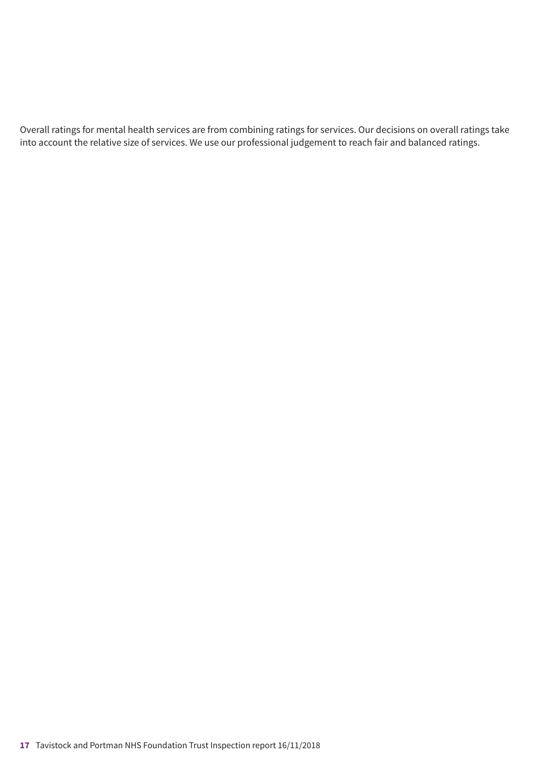Overall ratings for mental health services are from combining ratings for services. Our decisions on overall ratings take into account the relative size of services. We use our professional judgement to reach fair and balanced ratings.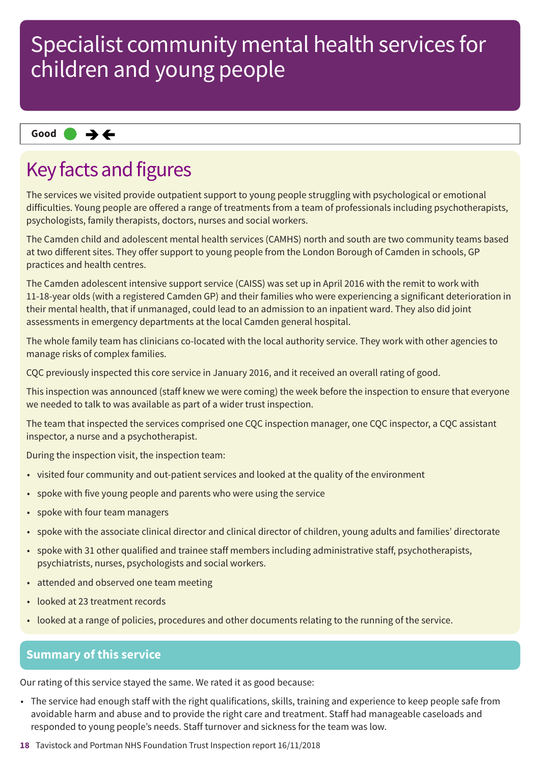### **Same–––rating Good –––**

## Key facts and figures

The services we visited provide outpatient support to young people struggling with psychological or emotional difficulties. Young people are offered a range of treatments from a team of professionals including psychotherapists, psychologists, family therapists, doctors, nurses and social workers.

The Camden child and adolescent mental health services (CAMHS) north and south are two community teams based at two different sites. They offer support to young people from the London Borough of Camden in schools, GP practices and health centres.

The Camden adolescent intensive support service (CAISS) was set up in April 2016 with the remit to work with 11-18-year olds (with a registered Camden GP) and their families who were experiencing a significant deterioration in their mental health, that if unmanaged, could lead to an admission to an inpatient ward. They also did joint assessments in emergency departments at the local Camden general hospital.

The whole family team has clinicians co-located with the local authority service. They work with other agencies to manage risks of complex families.

CQC previously inspected this core service in January 2016, and it received an overall rating of good.

This inspection was announced (staff knew we were coming) the week before the inspection to ensure that everyone we needed to talk to was available as part of a wider trust inspection.

The team that inspected the services comprised one CQC inspection manager, one CQC inspector, a CQC assistant inspector, a nurse and a psychotherapist.

During the inspection visit, the inspection team:

- visited four community and out-patient services and looked at the quality of the environment
- spoke with five young people and parents who were using the service
- spoke with four team managers
- spoke with the associate clinical director and clinical director of children, young adults and families' directorate
- spoke with 31 other qualified and trainee staff members including administrative staff, psychotherapists, psychiatrists, nurses, psychologists and social workers.
- attended and observed one team meeting
- looked at 23 treatment records
- looked at a range of policies, procedures and other documents relating to the running of the service.

### **Summary of this service**

Our rating of this service stayed the same. We rated it as good because:

- The service had enough staff with the right qualifications, skills, training and experience to keep people safe from avoidable harm and abuse and to provide the right care and treatment. Staff had manageable caseloads and responded to young people's needs. Staff turnover and sickness for the team was low.
- **18** Tavistock and Portman NHS Foundation Trust Inspection report 16/11/2018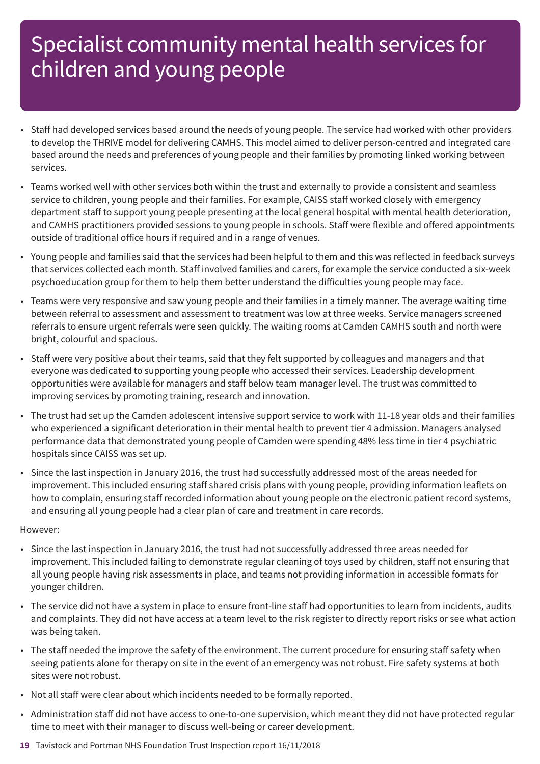- Staff had developed services based around the needs of young people. The service had worked with other providers to develop the THRIVE model for delivering CAMHS. This model aimed to deliver person-centred and integrated care based around the needs and preferences of young people and their families by promoting linked working between services.
- Teams worked well with other services both within the trust and externally to provide a consistent and seamless service to children, young people and their families. For example, CAISS staff worked closely with emergency department staff to support young people presenting at the local general hospital with mental health deterioration, and CAMHS practitioners provided sessions to young people in schools. Staff were flexible and offered appointments outside of traditional office hours if required and in a range of venues.
- Young people and families said that the services had been helpful to them and this was reflected in feedback surveys that services collected each month. Staff involved families and carers, for example the service conducted a six-week psychoeducation group for them to help them better understand the difficulties young people may face.
- Teams were very responsive and saw young people and their families in a timely manner. The average waiting time between referral to assessment and assessment to treatment was low at three weeks. Service managers screened referrals to ensure urgent referrals were seen quickly. The waiting rooms at Camden CAMHS south and north were bright, colourful and spacious.
- Staff were very positive about their teams, said that they felt supported by colleagues and managers and that everyone was dedicated to supporting young people who accessed their services. Leadership development opportunities were available for managers and staff below team manager level. The trust was committed to improving services by promoting training, research and innovation.
- The trust had set up the Camden adolescent intensive support service to work with 11-18 year olds and their families who experienced a significant deterioration in their mental health to prevent tier 4 admission. Managers analysed performance data that demonstrated young people of Camden were spending 48% less time in tier 4 psychiatric hospitals since CAISS was set up.
- Since the last inspection in January 2016, the trust had successfully addressed most of the areas needed for improvement. This included ensuring staff shared crisis plans with young people, providing information leaflets on how to complain, ensuring staff recorded information about young people on the electronic patient record systems, and ensuring all young people had a clear plan of care and treatment in care records.

#### However:

- Since the last inspection in January 2016, the trust had not successfully addressed three areas needed for improvement. This included failing to demonstrate regular cleaning of toys used by children, staff not ensuring that all young people having risk assessments in place, and teams not providing information in accessible formats for younger children.
- The service did not have a system in place to ensure front-line staff had opportunities to learn from incidents, audits and complaints. They did not have access at a team level to the risk register to directly report risks or see what action was being taken.
- The staff needed the improve the safety of the environment. The current procedure for ensuring staff safety when seeing patients alone for therapy on site in the event of an emergency was not robust. Fire safety systems at both sites were not robust.
- Not all staff were clear about which incidents needed to be formally reported.
- Administration staff did not have access to one-to-one supervision, which meant they did not have protected regular time to meet with their manager to discuss well-being or career development.
- **19** Tavistock and Portman NHS Foundation Trust Inspection report 16/11/2018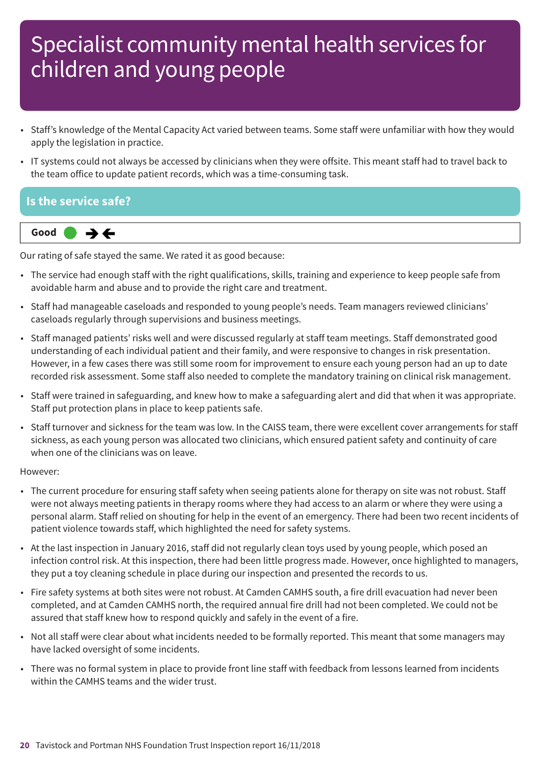- Staff's knowledge of the Mental Capacity Act varied between teams. Some staff were unfamiliar with how they would apply the legislation in practice.
- IT systems could not always be accessed by clinicians when they were offsite. This meant staff had to travel back to the team office to update patient records, which was a time-consuming task.

### **Is the service safe?**



Our rating of safe stayed the same. We rated it as good because:

- The service had enough staff with the right qualifications, skills, training and experience to keep people safe from avoidable harm and abuse and to provide the right care and treatment.
- Staff had manageable caseloads and responded to young people's needs. Team managers reviewed clinicians' caseloads regularly through supervisions and business meetings.
- Staff managed patients' risks well and were discussed regularly at staff team meetings. Staff demonstrated good understanding of each individual patient and their family, and were responsive to changes in risk presentation. However, in a few cases there was still some room for improvement to ensure each young person had an up to date recorded risk assessment. Some staff also needed to complete the mandatory training on clinical risk management.
- Staff were trained in safeguarding, and knew how to make a safeguarding alert and did that when it was appropriate. Staff put protection plans in place to keep patients safe.
- Staff turnover and sickness for the team was low. In the CAISS team, there were excellent cover arrangements for staff sickness, as each young person was allocated two clinicians, which ensured patient safety and continuity of care when one of the clinicians was on leave.

#### However:

- The current procedure for ensuring staff safety when seeing patients alone for therapy on site was not robust. Staff were not always meeting patients in therapy rooms where they had access to an alarm or where they were using a personal alarm. Staff relied on shouting for help in the event of an emergency. There had been two recent incidents of patient violence towards staff, which highlighted the need for safety systems.
- At the last inspection in January 2016, staff did not regularly clean toys used by young people, which posed an infection control risk. At this inspection, there had been little progress made. However, once highlighted to managers, they put a toy cleaning schedule in place during our inspection and presented the records to us.
- Fire safety systems at both sites were not robust. At Camden CAMHS south, a fire drill evacuation had never been completed, and at Camden CAMHS north, the required annual fire drill had not been completed. We could not be assured that staff knew how to respond quickly and safely in the event of a fire.
- Not all staff were clear about what incidents needed to be formally reported. This meant that some managers may have lacked oversight of some incidents.
- There was no formal system in place to provide front line staff with feedback from lessons learned from incidents within the CAMHS teams and the wider trust.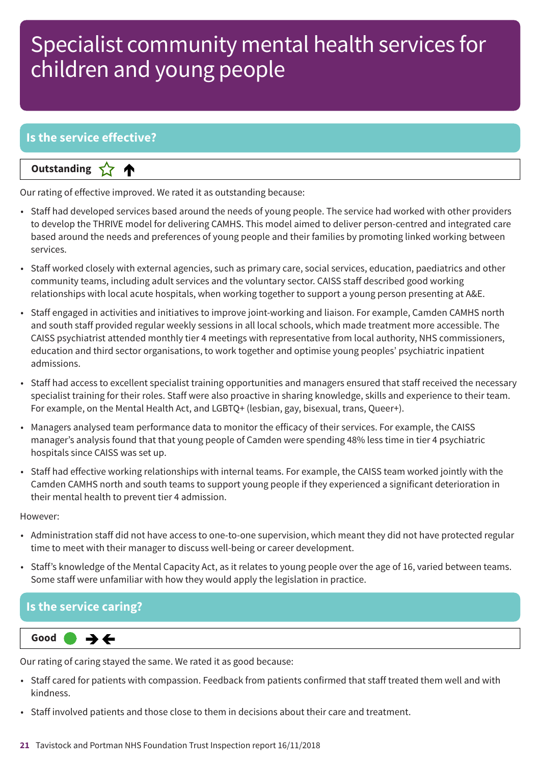### **Is the service effective?**

**Letter Cone Extending** 

Our rating of effective improved. We rated it as outstanding because:

- Staff had developed services based around the needs of young people. The service had worked with other providers to develop the THRIVE model for delivering CAMHS. This model aimed to deliver person-centred and integrated care based around the needs and preferences of young people and their families by promoting linked working between services.
- Staff worked closely with external agencies, such as primary care, social services, education, paediatrics and other community teams, including adult services and the voluntary sector. CAISS staff described good working relationships with local acute hospitals, when working together to support a young person presenting at A&E.
- Staff engaged in activities and initiatives to improve joint-working and liaison. For example, Camden CAMHS north and south staff provided regular weekly sessions in all local schools, which made treatment more accessible. The CAISS psychiatrist attended monthly tier 4 meetings with representative from local authority, NHS commissioners, education and third sector organisations, to work together and optimise young peoples' psychiatric inpatient admissions.
- Staff had access to excellent specialist training opportunities and managers ensured that staff received the necessary specialist training for their roles. Staff were also proactive in sharing knowledge, skills and experience to their team. For example, on the Mental Health Act, and LGBTQ+ (lesbian, gay, bisexual, trans, Queer+).
- Managers analysed team performance data to monitor the efficacy of their services. For example, the CAISS manager's analysis found that that young people of Camden were spending 48% less time in tier 4 psychiatric hospitals since CAISS was set up.
- Staff had effective working relationships with internal teams. For example, the CAISS team worked jointly with the Camden CAMHS north and south teams to support young people if they experienced a significant deterioration in their mental health to prevent tier 4 admission.

However:

- Administration staff did not have access to one-to-one supervision, which meant they did not have protected regular time to meet with their manager to discuss well-being or career development.
- Staff's knowledge of the Mental Capacity Act, as it relates to young people over the age of 16, varied between teams. Some staff were unfamiliar with how they would apply the legislation in practice.

### **Is the service caring?**

**Same–––rating Good –––**  $\rightarrow$   $\leftarrow$ 

Our rating of caring stayed the same. We rated it as good because:

- Staff cared for patients with compassion. Feedback from patients confirmed that staff treated them well and with kindness.
- Staff involved patients and those close to them in decisions about their care and treatment.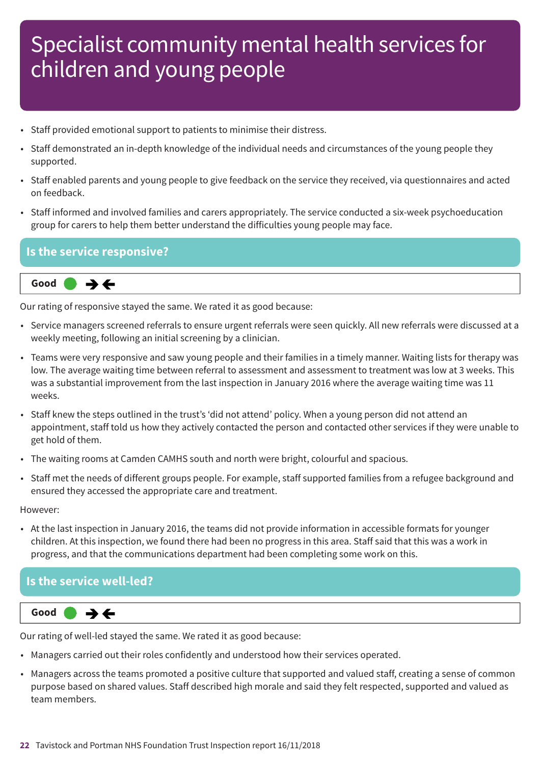- Staff provided emotional support to patients to minimise their distress.
- Staff demonstrated an in-depth knowledge of the individual needs and circumstances of the young people they supported.
- Staff enabled parents and young people to give feedback on the service they received, via questionnaires and acted on feedback.
- Staff informed and involved families and carers appropriately. The service conducted a six-week psychoeducation group for carers to help them better understand the difficulties young people may face.

### **Is the service responsive?**



Our rating of responsive stayed the same. We rated it as good because:

- Service managers screened referrals to ensure urgent referrals were seen quickly. All new referrals were discussed at a weekly meeting, following an initial screening by a clinician.
- Teams were very responsive and saw young people and their families in a timely manner. Waiting lists for therapy was low. The average waiting time between referral to assessment and assessment to treatment was low at 3 weeks. This was a substantial improvement from the last inspection in January 2016 where the average waiting time was 11 weeks.
- Staff knew the steps outlined in the trust's 'did not attend' policy. When a young person did not attend an appointment, staff told us how they actively contacted the person and contacted other services if they were unable to get hold of them.
- The waiting rooms at Camden CAMHS south and north were bright, colourful and spacious.
- Staff met the needs of different groups people. For example, staff supported families from a refugee background and ensured they accessed the appropriate care and treatment.

However:

• At the last inspection in January 2016, the teams did not provide information in accessible formats for younger children. At this inspection, we found there had been no progress in this area. Staff said that this was a work in progress, and that the communications department had been completing some work on this.

### **Is the service well-led?**



Our rating of well-led stayed the same. We rated it as good because:

- Managers carried out their roles confidently and understood how their services operated.
- Managers across the teams promoted a positive culture that supported and valued staff, creating a sense of common purpose based on shared values. Staff described high morale and said they felt respected, supported and valued as team members.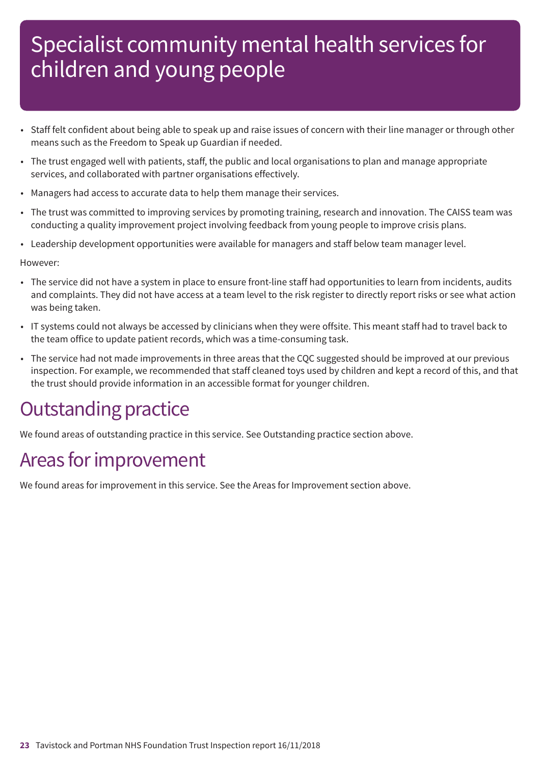- Staff felt confident about being able to speak up and raise issues of concern with their line manager or through other means such as the Freedom to Speak up Guardian if needed.
- The trust engaged well with patients, staff, the public and local organisations to plan and manage appropriate services, and collaborated with partner organisations effectively.
- Managers had access to accurate data to help them manage their services.
- The trust was committed to improving services by promoting training, research and innovation. The CAISS team was conducting a quality improvement project involving feedback from young people to improve crisis plans.
- Leadership development opportunities were available for managers and staff below team manager level.

However:

- The service did not have a system in place to ensure front-line staff had opportunities to learn from incidents, audits and complaints. They did not have access at a team level to the risk register to directly report risks or see what action was being taken.
- IT systems could not always be accessed by clinicians when they were offsite. This meant staff had to travel back to the team office to update patient records, which was a time-consuming task.
- The service had not made improvements in three areas that the CQC suggested should be improved at our previous inspection. For example, we recommended that staff cleaned toys used by children and kept a record of this, and that the trust should provide information in an accessible format for younger children.

## **Outstanding practice**

We found areas of outstanding practice in this service. See Outstanding practice section above.

## Areas for improvement

We found areas for improvement in this service. See the Areas for Improvement section above.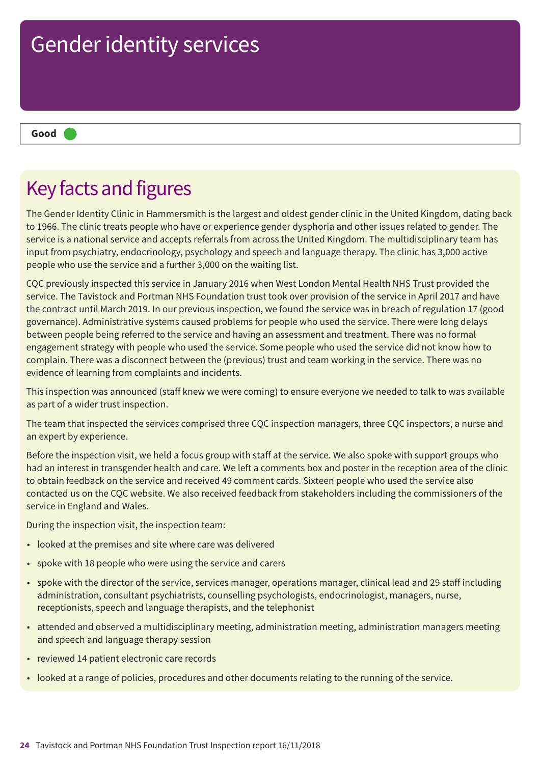**Good –––**

## Key facts and figures

The Gender Identity Clinic in Hammersmith is the largest and oldest gender clinic in the United Kingdom, dating back to 1966. The clinic treats people who have or experience gender dysphoria and other issues related to gender. The service is a national service and accepts referrals from across the United Kingdom. The multidisciplinary team has input from psychiatry, endocrinology, psychology and speech and language therapy. The clinic has 3,000 active people who use the service and a further 3,000 on the waiting list.

CQC previously inspected this service in January 2016 when West London Mental Health NHS Trust provided the service. The Tavistock and Portman NHS Foundation trust took over provision of the service in April 2017 and have the contract until March 2019. In our previous inspection, we found the service was in breach of regulation 17 (good governance). Administrative systems caused problems for people who used the service. There were long delays between people being referred to the service and having an assessment and treatment. There was no formal engagement strategy with people who used the service. Some people who used the service did not know how to complain. There was a disconnect between the (previous) trust and team working in the service. There was no evidence of learning from complaints and incidents.

This inspection was announced (staff knew we were coming) to ensure everyone we needed to talk to was available as part of a wider trust inspection.

The team that inspected the services comprised three CQC inspection managers, three CQC inspectors, a nurse and an expert by experience.

Before the inspection visit, we held a focus group with staff at the service. We also spoke with support groups who had an interest in transgender health and care. We left a comments box and poster in the reception area of the clinic to obtain feedback on the service and received 49 comment cards. Sixteen people who used the service also contacted us on the CQC website. We also received feedback from stakeholders including the commissioners of the service in England and Wales.

During the inspection visit, the inspection team:

- looked at the premises and site where care was delivered
- spoke with 18 people who were using the service and carers
- spoke with the director of the service, services manager, operations manager, clinical lead and 29 staff including administration, consultant psychiatrists, counselling psychologists, endocrinologist, managers, nurse, receptionists, speech and language therapists, and the telephonist
- attended and observed a multidisciplinary meeting, administration meeting, administration managers meeting and speech and language therapy session
- reviewed 14 patient electronic care records
- looked at a range of policies, procedures and other documents relating to the running of the service.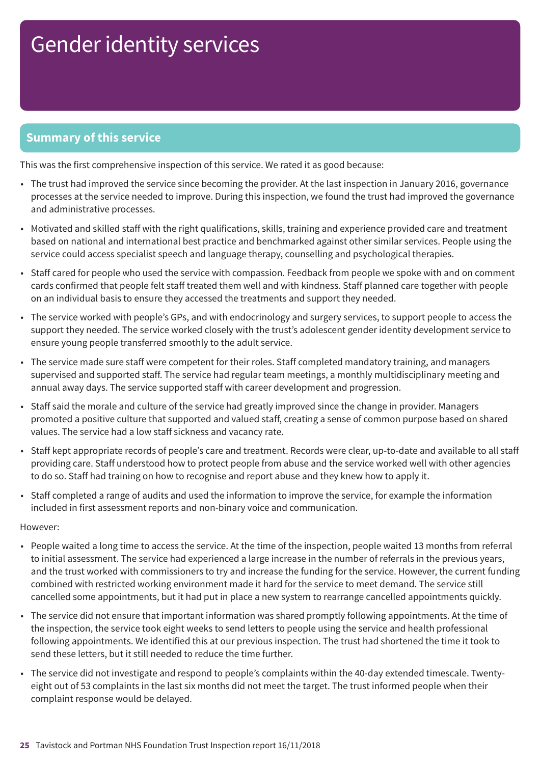### **Summary of this service**

This was the first comprehensive inspection of this service. We rated it as good because:

- The trust had improved the service since becoming the provider. At the last inspection in January 2016, governance processes at the service needed to improve. During this inspection, we found the trust had improved the governance and administrative processes.
- Motivated and skilled staff with the right qualifications, skills, training and experience provided care and treatment based on national and international best practice and benchmarked against other similar services. People using the service could access specialist speech and language therapy, counselling and psychological therapies.
- Staff cared for people who used the service with compassion. Feedback from people we spoke with and on comment cards confirmed that people felt staff treated them well and with kindness. Staff planned care together with people on an individual basis to ensure they accessed the treatments and support they needed.
- The service worked with people's GPs, and with endocrinology and surgery services, to support people to access the support they needed. The service worked closely with the trust's adolescent gender identity development service to ensure young people transferred smoothly to the adult service.
- The service made sure staff were competent for their roles. Staff completed mandatory training, and managers supervised and supported staff. The service had regular team meetings, a monthly multidisciplinary meeting and annual away days. The service supported staff with career development and progression.
- Staff said the morale and culture of the service had greatly improved since the change in provider. Managers promoted a positive culture that supported and valued staff, creating a sense of common purpose based on shared values. The service had a low staff sickness and vacancy rate.
- Staff kept appropriate records of people's care and treatment. Records were clear, up-to-date and available to all staff providing care. Staff understood how to protect people from abuse and the service worked well with other agencies to do so. Staff had training on how to recognise and report abuse and they knew how to apply it.
- Staff completed a range of audits and used the information to improve the service, for example the information included in first assessment reports and non-binary voice and communication.

#### However:

- People waited a long time to access the service. At the time of the inspection, people waited 13 months from referral to initial assessment. The service had experienced a large increase in the number of referrals in the previous years, and the trust worked with commissioners to try and increase the funding for the service. However, the current funding combined with restricted working environment made it hard for the service to meet demand. The service still cancelled some appointments, but it had put in place a new system to rearrange cancelled appointments quickly.
- The service did not ensure that important information was shared promptly following appointments. At the time of the inspection, the service took eight weeks to send letters to people using the service and health professional following appointments. We identified this at our previous inspection. The trust had shortened the time it took to send these letters, but it still needed to reduce the time further.
- The service did not investigate and respond to people's complaints within the 40-day extended timescale. Twentyeight out of 53 complaints in the last six months did not meet the target. The trust informed people when their complaint response would be delayed.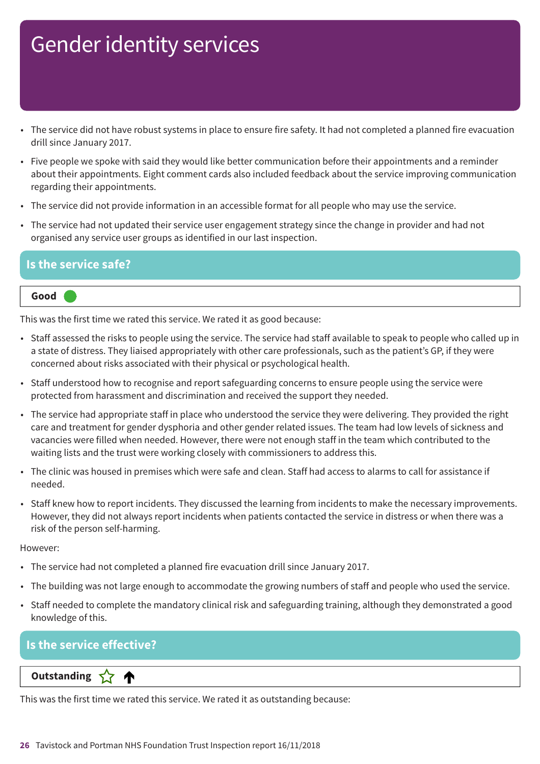- The service did not have robust systems in place to ensure fire safety. It had not completed a planned fire evacuation drill since January 2017.
- Five people we spoke with said they would like better communication before their appointments and a reminder about their appointments. Eight comment cards also included feedback about the service improving communication regarding their appointments.
- The service did not provide information in an accessible format for all people who may use the service.
- The service had not updated their service user engagement strategy since the change in provider and had not organised any service user groups as identified in our last inspection.

### **Is the service safe?**

#### **Good –––**

This was the first time we rated this service. We rated it as good because:

- Staff assessed the risks to people using the service. The service had staff available to speak to people who called up in a state of distress. They liaised appropriately with other care professionals, such as the patient's GP, if they were concerned about risks associated with their physical or psychological health.
- Staff understood how to recognise and report safeguarding concerns to ensure people using the service were protected from harassment and discrimination and received the support they needed.
- The service had appropriate staff in place who understood the service they were delivering. They provided the right care and treatment for gender dysphoria and other gender related issues. The team had low levels of sickness and vacancies were filled when needed. However, there were not enough staff in the team which contributed to the waiting lists and the trust were working closely with commissioners to address this.
- The clinic was housed in premises which were safe and clean. Staff had access to alarms to call for assistance if needed.
- Staff knew how to report incidents. They discussed the learning from incidents to make the necessary improvements. However, they did not always report incidents when patients contacted the service in distress or when there was a risk of the person self-harming.

#### However:

- The service had not completed a planned fire evacuation drill since January 2017.
- The building was not large enough to accommodate the growing numbers of staff and people who used the service.
- Staff needed to complete the mandatory clinical risk and safeguarding training, although they demonstrated a good knowledge of this.

### **Is the service effective?**

**Letter Cone Extending** 

This was the first time we rated this service. We rated it as outstanding because: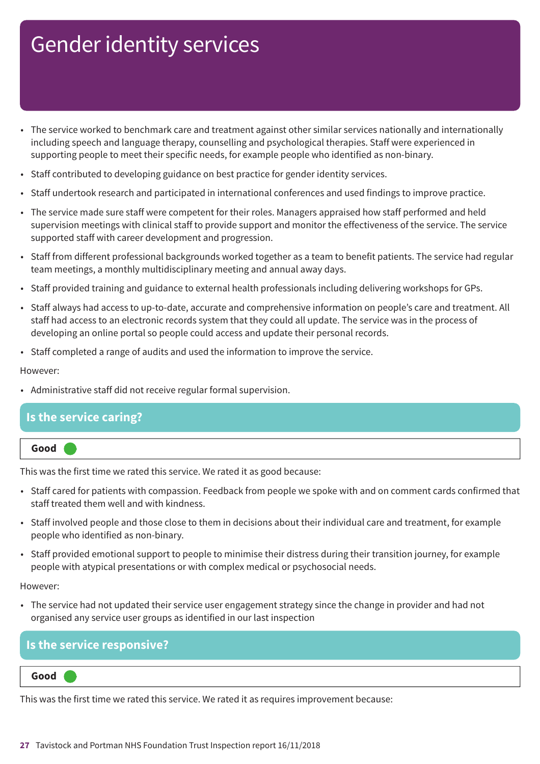- The service worked to benchmark care and treatment against other similar services nationally and internationally including speech and language therapy, counselling and psychological therapies. Staff were experienced in supporting people to meet their specific needs, for example people who identified as non-binary.
- Staff contributed to developing guidance on best practice for gender identity services.
- Staff undertook research and participated in international conferences and used findings to improve practice.
- The service made sure staff were competent for their roles. Managers appraised how staff performed and held supervision meetings with clinical staff to provide support and monitor the effectiveness of the service. The service supported staff with career development and progression.
- Staff from different professional backgrounds worked together as a team to benefit patients. The service had regular team meetings, a monthly multidisciplinary meeting and annual away days.
- Staff provided training and guidance to external health professionals including delivering workshops for GPs.
- Staff always had access to up-to-date, accurate and comprehensive information on people's care and treatment. All staff had access to an electronic records system that they could all update. The service was in the process of developing an online portal so people could access and update their personal records.
- Staff completed a range of audits and used the information to improve the service.

However:

• Administrative staff did not receive regular formal supervision.

### **Is the service caring?**

| Good |  |
|------|--|
|      |  |

This was the first time we rated this service. We rated it as good because:

- Staff cared for patients with compassion. Feedback from people we spoke with and on comment cards confirmed that staff treated them well and with kindness.
- Staff involved people and those close to them in decisions about their individual care and treatment, for example people who identified as non-binary.
- Staff provided emotional support to people to minimise their distress during their transition journey, for example people with atypical presentations or with complex medical or psychosocial needs.

However:

• The service had not updated their service user engagement strategy since the change in provider and had not organised any service user groups as identified in our last inspection

### **Is the service responsive?**

**Good –––**

This was the first time we rated this service. We rated it as requires improvement because: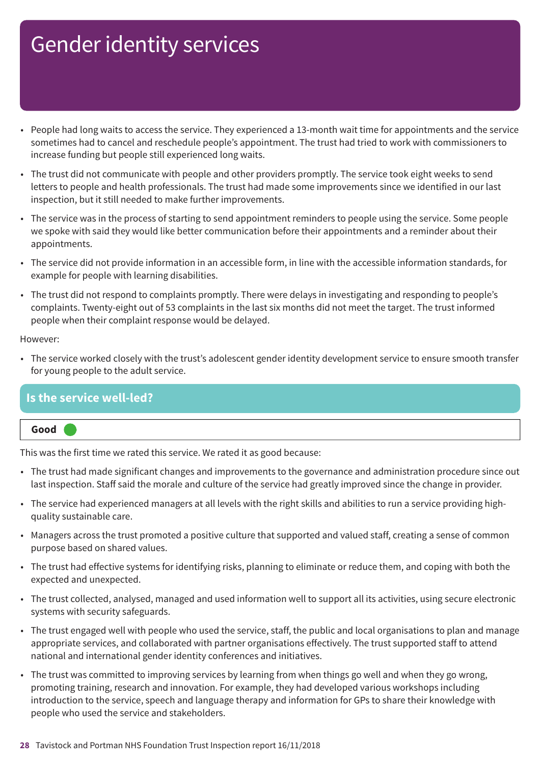- People had long waits to access the service. They experienced a 13-month wait time for appointments and the service sometimes had to cancel and reschedule people's appointment. The trust had tried to work with commissioners to increase funding but people still experienced long waits.
- The trust did not communicate with people and other providers promptly. The service took eight weeks to send letters to people and health professionals. The trust had made some improvements since we identified in our last inspection, but it still needed to make further improvements.
- The service was in the process of starting to send appointment reminders to people using the service. Some people we spoke with said they would like better communication before their appointments and a reminder about their appointments.
- The service did not provide information in an accessible form, in line with the accessible information standards, for example for people with learning disabilities.
- The trust did not respond to complaints promptly. There were delays in investigating and responding to people's complaints. Twenty-eight out of 53 complaints in the last six months did not meet the target. The trust informed people when their complaint response would be delayed.

#### However:

• The service worked closely with the trust's adolescent gender identity development service to ensure smooth transfer for young people to the adult service.

### **Is the service well-led?**

#### **Good –––**

This was the first time we rated this service. We rated it as good because:

- The trust had made significant changes and improvements to the governance and administration procedure since out last inspection. Staff said the morale and culture of the service had greatly improved since the change in provider.
- The service had experienced managers at all levels with the right skills and abilities to run a service providing highquality sustainable care.
- Managers across the trust promoted a positive culture that supported and valued staff, creating a sense of common purpose based on shared values.
- The trust had effective systems for identifying risks, planning to eliminate or reduce them, and coping with both the expected and unexpected.
- The trust collected, analysed, managed and used information well to support all its activities, using secure electronic systems with security safeguards.
- The trust engaged well with people who used the service, staff, the public and local organisations to plan and manage appropriate services, and collaborated with partner organisations effectively. The trust supported staff to attend national and international gender identity conferences and initiatives.
- The trust was committed to improving services by learning from when things go well and when they go wrong, promoting training, research and innovation. For example, they had developed various workshops including introduction to the service, speech and language therapy and information for GPs to share their knowledge with people who used the service and stakeholders.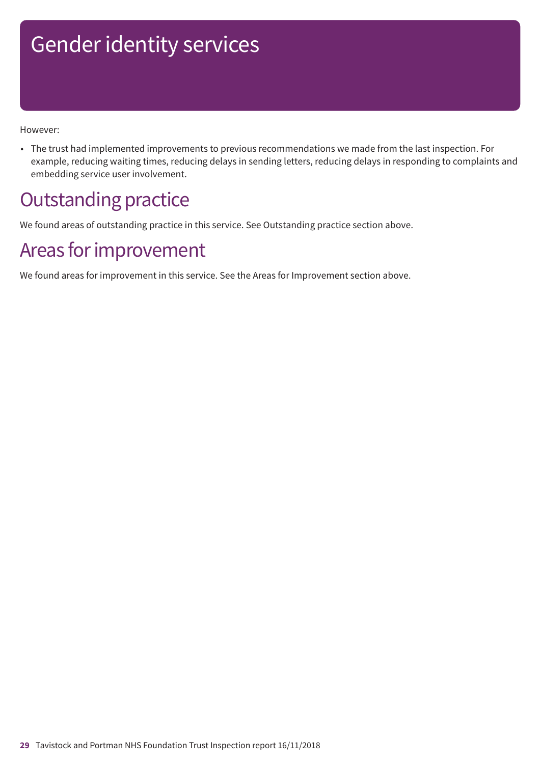However:

• The trust had implemented improvements to previous recommendations we made from the last inspection. For example, reducing waiting times, reducing delays in sending letters, reducing delays in responding to complaints and embedding service user involvement.

## **Outstanding practice**

We found areas of outstanding practice in this service. See Outstanding practice section above.

## Areas for improvement

We found areas for improvement in this service. See the Areas for Improvement section above.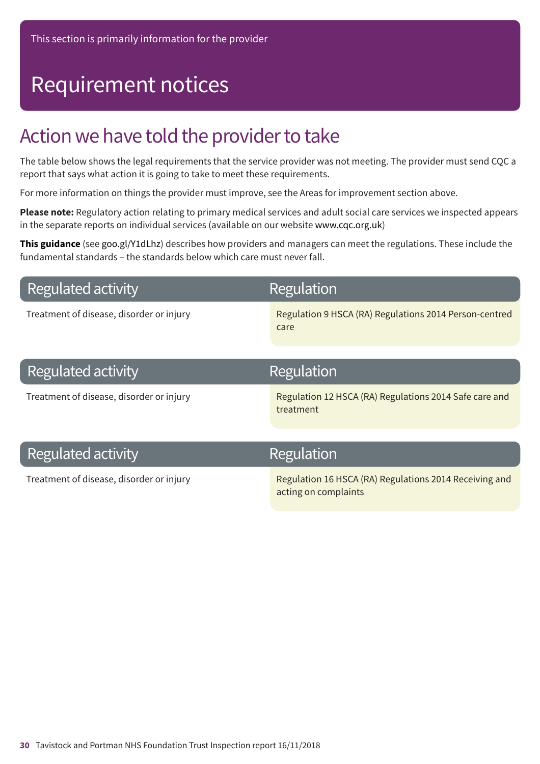## Requirement notices

## Action we have told the provider to take

The table below shows the legal requirements that the service provider was not meeting. The provider must send CQC a report that says what action it is going to take to meet these requirements.

For more information on things the provider must improve, see the Areas for improvement section above.

**Please note:** Regulatory action relating to primary medical services and adult social care services we inspected appears in the separate reports on individual services (available on our website www.cqc.org.uk)

**This guidance** (see goo.gl/Y1dLhz) describes how providers and managers can meet the regulations. These include the fundamental standards – the standards below which care must never fall.

### **Regulated activity**

## **Regulation**

Treatment of disease, disorder or injury Regulation 9 HSCA (RA) Regulations 2014 Person-centred care

### Regulated activity Treatment of disease, disorder or injury Regulation 12 HSCA (RA) Regulations 2014 Safe care and treatment Regulation

### **Regulated activity**

### Regulation

Treatment of disease, disorder or injury **Regulation 16 HSCA (RA) Regulations 2014 Receiving and** acting on complaints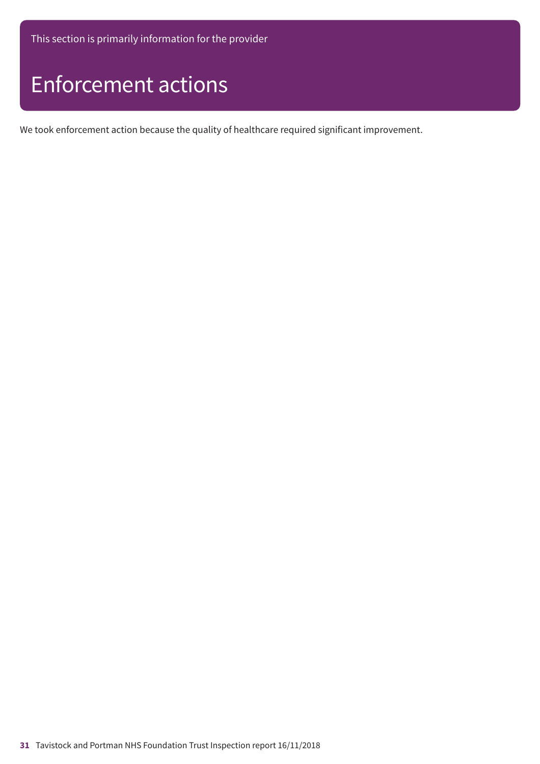This section is primarily information for the provider

## Enforcement actions

We took enforcement action because the quality of healthcare required significant improvement.